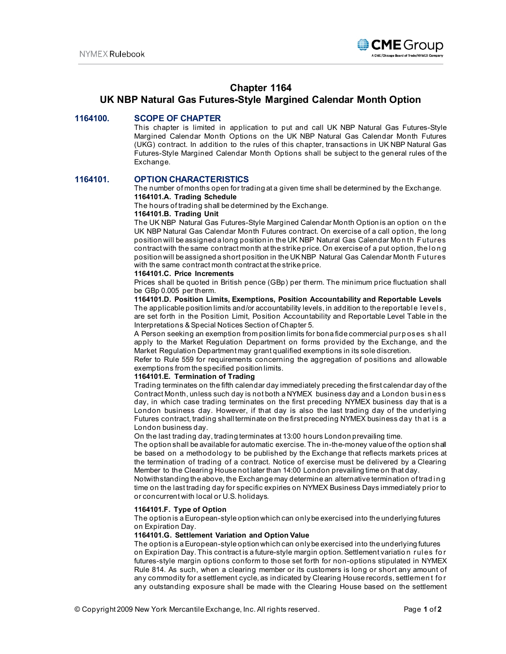

# **Chapter 1164**

# **UK NBP Natural Gas Futures-Style Margined Calendar Month Option**

## **1164100. SCOPE OF CHAPTER**

This chapter is limited in application to put and call UK NBP Natural Gas Futures-Style Margined Calendar Month Options on the UK NBP Natural Gas Calendar Month Futures (UKG) contract. In addition to the rules of this chapter, transactions in UK NBP Natural Gas Futures-Style Margined Calendar Month Options shall be subject to the general rules of the Exchange.

## **1164101. OPTION CHARACTERISTICS**

The number of months open for trading at a given time shall be determined by the Exchange. **1164101.A. Trading Schedule**

The hours of trading shall be determined by the Exchange.

### **1164101.B. Trading Unit**

The UK NBP Natural Gas Futures-Style Margined Calendar Month Option is an option o n th e UK NBP Natural Gas Calendar Month Futures contract. On exercise of a call option, the long position will be assigned a long position in the UK NBP Natural Gas Calendar Mo n th Futures contract with the same contract month at the strike price. On exercise of a put option, the long position will be assigned a short position in the UK NBP Natural Gas Calendar Month Futures with the same contract month contract at the strike price.

#### **1164101.C. Price Increments**

Prices shall be quoted in British pence (GBp) per therm. The minimum price fluctuation shall be GBp 0.005 per therm.

#### **1164101.D. Position Limits, Exemptions, Position Accountability and Reportable Levels**

The applicable position limits and/or accountability levels, in addition to the reportable levels. are set forth in the Position Limit, Position Accountability and Reportable Level Table in the Interpretations & Special Notices Section of Chapter 5.

A Person seeking an exemption from position limits for bona fide commercial purp oses shall apply to the Market Regulation Department on forms provided by the Exchange, and the Market Regulation Department may grant qualified exemptions in its sole discretion.

Refer to Rule 559 for requirements concerning the aggregation of positions and allowable exemptions from the specified position limits.

#### **1164101.E. Termination of Trading**

Trading terminates on the fifth calendar day immediately preceding the first calendar day of the Contract Month, unless such day is not both a NYMEX business day and a London business day, in which case trading terminates on the first preceding NYMEX business day that is a London business day. However, if that day is also the last trading day of the underlying Futures contract, trading shall terminate on the first preceding NYMEX business day that is a London business day.

On the last trading day, trading terminates at 13:00 hours London prevailing time.

The option shall be available for automatic exercise. The in-the-money value of the option shall be based on a methodology to be published by the Exchange that reflects markets prices at the termination of trading of a contract. Notice of exercise must be delivered by a Clearing Member to the Clearing House not later than 14:00 London prevailing time on that day.

Notwithstanding the above, the Exchange may determine an alternative termination of trad i n g time on the last trading day for specific expiries on NYMEX Business Days immediately prior to or concurrent with local or U.S. holidays.

#### **1164101.F. Type of Option**

The option is a European-style option which can only be exercised into the underlying futures on Expiration Day.

#### **1164101.G. Settlement Variation and Option Value**

The option is a European-style option which can only be exercised into the underlying futures on Expiration Day. This contract is a future-style margin option. Settlement variatio n rul es fo r futures-style margin options conform to those set forth for non-options stipulated in NYMEX Rule 814. As such, when a clearing member or its customers is long or short any amount of any commodity for a settlement cycle, as indicated by Clearing House records, settlemen t fo r any outstanding exposure shall be made with the Clearing House based on the settlement